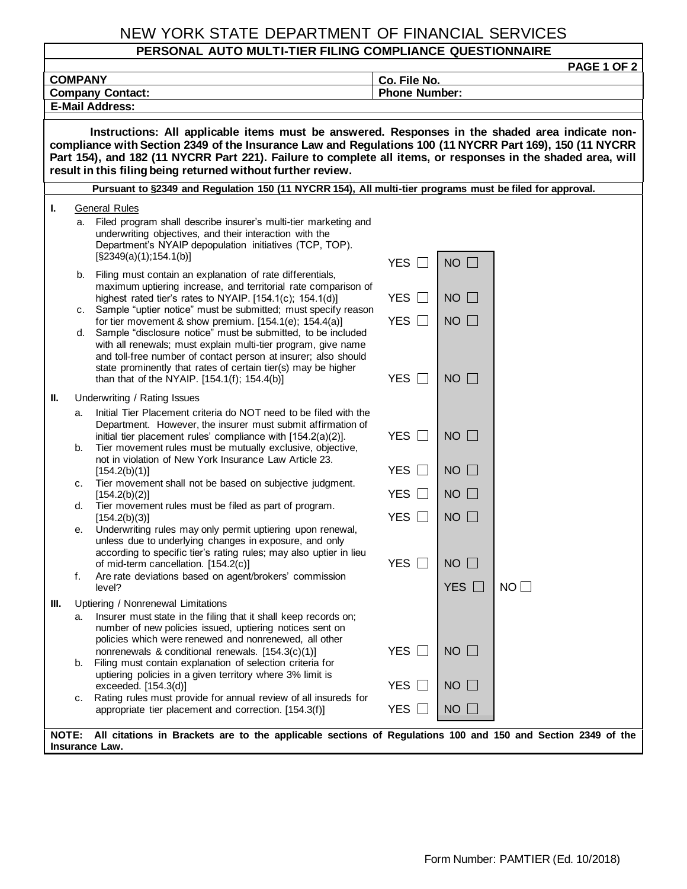## NEW YORK STATE DEPARTMENT OF FINANCIAL SERVICES

## **PERSONAL AUTO MULTI-TIER FILING COMPLIANCE QUESTIONNAIRE**

| <b>PAGE 1 OF 2</b>                                                                                                                                                                                                                                                                                                                                                                          |          |                                                                                                                                                                                                                                                                                                                         |                       |               |    |  |
|---------------------------------------------------------------------------------------------------------------------------------------------------------------------------------------------------------------------------------------------------------------------------------------------------------------------------------------------------------------------------------------------|----------|-------------------------------------------------------------------------------------------------------------------------------------------------------------------------------------------------------------------------------------------------------------------------------------------------------------------------|-----------------------|---------------|----|--|
| <b>COMPANY</b>                                                                                                                                                                                                                                                                                                                                                                              |          |                                                                                                                                                                                                                                                                                                                         | Co. File No.          |               |    |  |
| <b>Phone Number:</b><br><b>Company Contact:</b><br><b>E-Mail Address:</b>                                                                                                                                                                                                                                                                                                                   |          |                                                                                                                                                                                                                                                                                                                         |                       |               |    |  |
|                                                                                                                                                                                                                                                                                                                                                                                             |          |                                                                                                                                                                                                                                                                                                                         |                       |               |    |  |
| Instructions: All applicable items must be answered. Responses in the shaded area indicate non-<br>compliance with Section 2349 of the Insurance Law and Regulations 100 (11 NYCRR Part 169), 150 (11 NYCRR<br>Part 154), and 182 (11 NYCRR Part 221). Failure to complete all items, or responses in the shaded area, will<br>result in this filing being returned without further review. |          |                                                                                                                                                                                                                                                                                                                         |                       |               |    |  |
| Pursuant to §2349 and Regulation 150 (11 NYCRR 154), All multi-tier programs must be filed for approval.                                                                                                                                                                                                                                                                                    |          |                                                                                                                                                                                                                                                                                                                         |                       |               |    |  |
| ı.                                                                                                                                                                                                                                                                                                                                                                                          |          | <b>General Rules</b>                                                                                                                                                                                                                                                                                                    |                       |               |    |  |
|                                                                                                                                                                                                                                                                                                                                                                                             | а.       | Filed program shall describe insurer's multi-tier marketing and<br>underwriting objectives, and their interaction with the<br>Department's NYAIP depopulation initiatives (TCP, TOP).<br>[§2349(a)(1);154.1(b)]                                                                                                         | YES $\Box$            | $NO$ $\Box$   |    |  |
|                                                                                                                                                                                                                                                                                                                                                                                             | b.       | Filing must contain an explanation of rate differentials,<br>maximum uptiering increase, and territorial rate comparison of<br>highest rated tier's rates to NYAIP. [154.1(c); 154.1(d)]                                                                                                                                | YES $\Box$            | $NO$ $\Box$   |    |  |
|                                                                                                                                                                                                                                                                                                                                                                                             | C.<br>d. | Sample "uptier notice" must be submitted; must specify reason<br>for tier movement & show premium. [154.1(e); 154.4(a)]<br>Sample "disclosure notice" must be submitted, to be included                                                                                                                                 | YES $\Box$            | $NO$ $\Box$   |    |  |
|                                                                                                                                                                                                                                                                                                                                                                                             |          | with all renewals; must explain multi-tier program, give name<br>and toll-free number of contact person at insurer; also should<br>state prominently that rates of certain tier(s) may be higher<br>than that of the NYAIP. [154.1(f); 154.4(b)]                                                                        | YES $\Box$            | $NO$ $\Box$   |    |  |
| Ш.                                                                                                                                                                                                                                                                                                                                                                                          |          | Underwriting / Rating Issues                                                                                                                                                                                                                                                                                            |                       |               |    |  |
|                                                                                                                                                                                                                                                                                                                                                                                             | а.<br>b. | Initial Tier Placement criteria do NOT need to be filed with the<br>Department. However, the insurer must submit affirmation of<br>initial tier placement rules' compliance with [154.2(a)(2)].<br>Tier movement rules must be mutually exclusive, objective,<br>not in violation of New York Insurance Law Article 23. | YES $\Box$            | $NO$ $\Box$   |    |  |
|                                                                                                                                                                                                                                                                                                                                                                                             |          | [154.2(b)(1)]                                                                                                                                                                                                                                                                                                           | <b>YES</b><br>$\Box$  | $NO$ $\Box$   |    |  |
|                                                                                                                                                                                                                                                                                                                                                                                             | c.<br>d. | Tier movement shall not be based on subjective judgment.<br>[154.2(b)(2)]<br>Tier movement rules must be filed as part of program.                                                                                                                                                                                      | <b>YES</b><br>$\perp$ | $NO$ $\Box$   |    |  |
|                                                                                                                                                                                                                                                                                                                                                                                             | е.       | [154.2(b)(3)]<br>Underwriting rules may only permit uptiering upon renewal,                                                                                                                                                                                                                                             | YES $\Box$            | $NO$ $\Box$   |    |  |
|                                                                                                                                                                                                                                                                                                                                                                                             | f.       | unless due to underlying changes in exposure, and only<br>according to specific tier's rating rules; may also uptier in lieu<br>of mid-term cancellation. [154.2(c)]<br>Are rate deviations based on agent/brokers' commission                                                                                          | YES □                 | $NO$ $\Box$   |    |  |
|                                                                                                                                                                                                                                                                                                                                                                                             |          | level?                                                                                                                                                                                                                                                                                                                  |                       | YES $\square$ | NO |  |
| Ш.                                                                                                                                                                                                                                                                                                                                                                                          | а.       | Uptiering / Nonrenewal Limitations<br>Insurer must state in the filing that it shall keep records on;<br>number of new policies issued, uptiering notices sent on                                                                                                                                                       |                       |               |    |  |
|                                                                                                                                                                                                                                                                                                                                                                                             | b.       | policies which were renewed and nonrenewed, all other<br>nonrenewals & conditional renewals. [154.3(c)(1)]<br>Filing must contain explanation of selection criteria for                                                                                                                                                 | <b>YES</b><br>$\perp$ | $NO$ $\Box$   |    |  |
|                                                                                                                                                                                                                                                                                                                                                                                             |          | uptiering policies in a given territory where 3% limit is<br>exceeded. $[154.3(d)]$                                                                                                                                                                                                                                     | YES $\Box$            | $NO$ $\Box$   |    |  |
|                                                                                                                                                                                                                                                                                                                                                                                             | с.       | Rating rules must provide for annual review of all insureds for<br>appropriate tier placement and correction. [154.3(f)]                                                                                                                                                                                                | YES $\Box$            | $NO$ $\Box$   |    |  |
| All citations in Brackets are to the applicable sections of Regulations 100 and 150 and Section 2349 of the<br><b>NOTE:</b><br>Insurance Law.                                                                                                                                                                                                                                               |          |                                                                                                                                                                                                                                                                                                                         |                       |               |    |  |